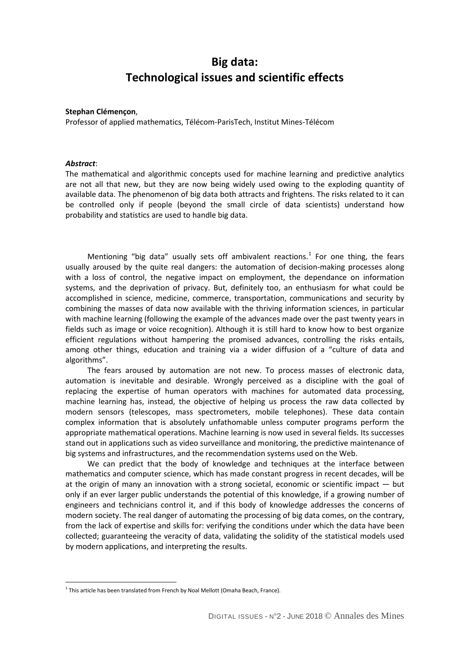# **Big data: Technological issues and scientific effects**

#### **Stephan Clémençon**,

Professor of applied mathematics, Télécom-ParisTech, Institut Mines-Télécom

#### *Abstract*:

 $\overline{a}$ 

The mathematical and algorithmic concepts used for machine learning and predictive analytics are not all that new, but they are now being widely used owing to the exploding quantity of available data. The phenomenon of big data both attracts and frightens. The risks related to it can be controlled only if people (beyond the small circle of data scientists) understand how probability and statistics are used to handle big data.

Mentioning "big data" usually sets off ambivalent reactions.<sup>[1](#page-0-0)</sup> For one thing, the fears usually aroused by the quite real dangers: the automation of decision-making processes along with a loss of control, the negative impact on employment, the dependance on information systems, and the deprivation of privacy. But, definitely too, an enthusiasm for what could be accomplished in science, medicine, commerce, transportation, communications and security by combining the masses of data now available with the thriving information sciences, in particular with machine learning (following the example of the advances made over the past twenty years in fields such as image or voice recognition). Although it is still hard to know how to best organize efficient regulations without hampering the promised advances, controlling the risks entails, among other things, education and training via a wider diffusion of a "culture of data and algorithms".

The fears aroused by automation are not new. To process masses of electronic data, automation is inevitable and desirable. Wrongly perceived as a discipline with the goal of replacing the expertise of human operators with machines for automated data processing, machine learning has, instead, the objective of helping us process the raw data collected by modern sensors (telescopes, mass spectrometers, mobile telephones). These data contain complex information that is absolutely unfathomable unless computer programs perform the appropriate mathematical operations. Machine learning is now used in several fields. Its successes stand out in applications such as video surveillance and monitoring, the predictive maintenance of big systems and infrastructures, and the recommendation systems used on the Web.

We can predict that the body of knowledge and techniques at the interface between mathematics and computer science, which has made constant progress in recent decades, will be at the origin of many an innovation with a strong societal, economic or scientific impact — but only if an ever larger public understands the potential of this knowledge, if a growing number of engineers and technicians control it, and if this body of knowledge addresses the concerns of modern society. The real danger of automating the processing of big data comes, on the contrary, from the lack of expertise and skills for: verifying the conditions under which the data have been collected; guaranteeing the veracity of data, validating the solidity of the statistical models used by modern applications, and interpreting the results.

<span id="page-0-0"></span> $1$  This article has been translated from French by Noal Mellott (Omaha Beach, France).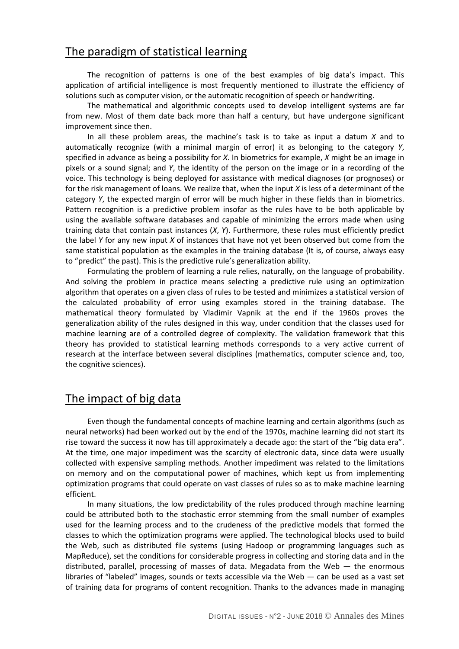## The paradigm of statistical learning

The recognition of patterns is one of the best examples of big data's impact. This application of artificial intelligence is most frequently mentioned to illustrate the efficiency of solutions such as computer vision, or the automatic recognition of speech or handwriting.

The mathematical and algorithmic concepts used to develop intelligent systems are far from new. Most of them date back more than half a century, but have undergone significant improvement since then.

In all these problem areas, the machine's task is to take as input a datum *X* and to automatically recognize (with a minimal margin of error) it as belonging to the category *Y*, specified in advance as being a possibility for *X*. In biometrics for example, *X* might be an image in pixels or a sound signal; and *Y*, the identity of the person on the image or in a recording of the voice. This technology is being deployed for assistance with medical diagnoses (or prognoses) or for the risk management of loans. We realize that, when the input *X* is less of a determinant of the category *Y*, the expected margin of error will be much higher in these fields than in biometrics. Pattern recognition is a predictive problem insofar as the rules have to be both applicable by using the available software databases and capable of minimizing the errors made when using training data that contain past instances (*X*, *Y*). Furthermore, these rules must efficiently predict the label *Y* for any new input *X* of instances that have not yet been observed but come from the same statistical population as the examples in the training database (It is, of course, always easy to "predict" the past). This is the predictive rule's generalization ability.

Formulating the problem of learning a rule relies, naturally, on the language of probability. And solving the problem in practice means selecting a predictive rule using an optimization algorithm that operates on a given class of rules to be tested and minimizes a statistical version of the calculated probability of error using examples stored in the training database. The mathematical theory formulated by Vladimir Vapnik at the end if the 1960s proves the generalization ability of the rules designed in this way, under condition that the classes used for machine learning are of a controlled degree of complexity. The validation framework that this theory has provided to statistical learning methods corresponds to a very active current of research at the interface between several disciplines (mathematics, computer science and, too, the cognitive sciences).

### The impact of big data

Even though the fundamental concepts of machine learning and certain algorithms (such as neural networks) had been worked out by the end of the 1970s, machine learning did not start its rise toward the success it now has till approximately a decade ago: the start of the "big data era". At the time, one major impediment was the scarcity of electronic data, since data were usually collected with expensive sampling methods. Another impediment was related to the limitations on memory and on the computational power of machines, which kept us from implementing optimization programs that could operate on vast classes of rules so as to make machine learning efficient.

In many situations, the low predictability of the rules produced through machine learning could be attributed both to the stochastic error stemming from the small number of examples used for the learning process and to the crudeness of the predictive models that formed the classes to which the optimization programs were applied. The technological blocks used to build the Web, such as distributed file systems (using Hadoop or programming languages such as MapReduce), set the conditions for considerable progress in collecting and storing data and in the distributed, parallel, processing of masses of data. Megadata from the Web — the enormous libraries of "labeled" images, sounds or texts accessible via the Web — can be used as a vast set of training data for programs of content recognition. Thanks to the advances made in managing